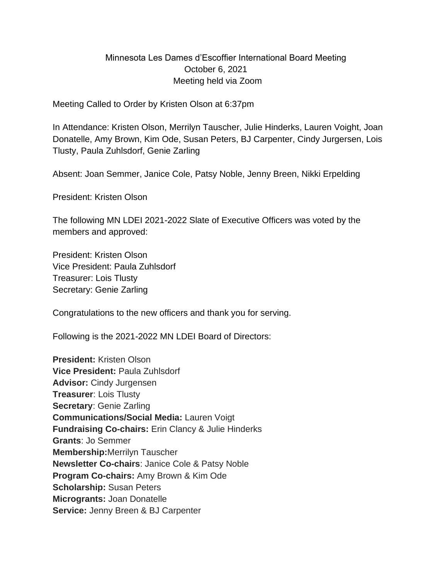# Minnesota Les Dames d'Escoffier International Board Meeting October 6, 2021 Meeting held via Zoom

Meeting Called to Order by Kristen Olson at 6:37pm

In Attendance: Kristen Olson, Merrilyn Tauscher, Julie Hinderks, Lauren Voight, Joan Donatelle, Amy Brown, Kim Ode, Susan Peters, BJ Carpenter, Cindy Jurgersen, Lois Tlusty, Paula Zuhlsdorf, Genie Zarling

Absent: Joan Semmer, Janice Cole, Patsy Noble, Jenny Breen, Nikki Erpelding

President: Kristen Olson

The following MN LDEI 2021-2022 Slate of Executive Officers was voted by the members and approved:

President: Kristen Olson Vice President: Paula Zuhlsdorf Treasurer: Lois Tlusty Secretary: Genie Zarling

Congratulations to the new officers and thank you for serving.

Following is the 2021-2022 MN LDEI Board of Directors:

**President:** Kristen Olson **Vice President:** Paula Zuhlsdorf **Advisor:** Cindy Jurgensen **Treasurer**: Lois Tlusty **Secretary**: Genie Zarling **Communications/Social Media:** Lauren Voigt **Fundraising Co-chairs:** Erin Clancy & Julie Hinderks **Grants**: Jo Semmer **Membership:**Merrilyn Tauscher **Newsletter Co-chairs**: Janice Cole & Patsy Noble **Program Co-chairs:** Amy Brown & Kim Ode **Scholarship:** Susan Peters **Microgrants:** Joan Donatelle **Service:** Jenny Breen & BJ Carpenter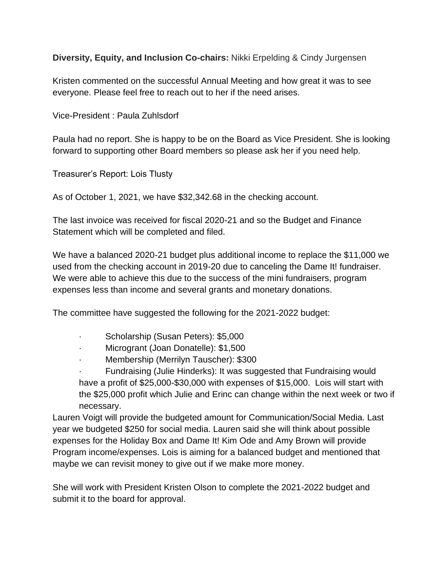**Diversity, Equity, and Inclusion Co-chairs:** Nikki Erpelding & Cindy Jurgensen

Kristen commented on the successful Annual Meeting and how great it was to see everyone. Please feel free to reach out to her if the need arises.

Vice-President : Paula Zuhlsdorf

Paula had no report. She is happy to be on the Board as Vice President. She is looking forward to supporting other Board members so please ask her if you need help.

Treasurer's Report: Lois Tlusty

As of October 1, 2021, we have \$32,342.68 in the checking account.

The last invoice was received for fiscal 2020-21 and so the Budget and Finance Statement which will be completed and filed.

We have a balanced 2020-21 budget plus additional income to replace the \$11,000 we used from the checking account in 2019-20 due to canceling the Dame It! fundraiser. We were able to achieve this due to the success of the mini fundraisers, program expenses less than income and several grants and monetary donations.

The committee have suggested the following for the 2021-2022 budget:

- Scholarship (Susan Peters): \$5,000
- Microgrant (Joan Donatelle): \$1,500
- · Membership (Merrilyn Tauscher): \$300

· Fundraising (Julie Hinderks): It was suggested that Fundraising would have a profit of \$25,000-\$30,000 with expenses of \$15,000. Lois will start with the \$25,000 profit which Julie and Erinc can change within the next week or two if necessary.

Lauren Voigt will provide the budgeted amount for Communication/Social Media. Last year we budgeted \$250 for social media. Lauren said she will think about possible expenses for the Holiday Box and Dame It! Kim Ode and Amy Brown will provide Program income/expenses. Lois is aiming for a balanced budget and mentioned that maybe we can revisit money to give out if we make more money.

She will work with President Kristen Olson to complete the 2021-2022 budget and submit it to the board for approval.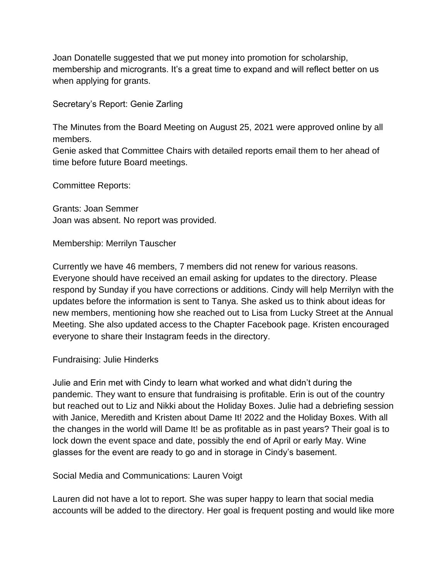Joan Donatelle suggested that we put money into promotion for scholarship, membership and microgrants. It's a great time to expand and will reflect better on us when applying for grants.

Secretary's Report: Genie Zarling

The Minutes from the Board Meeting on August 25, 2021 were approved online by all members.

Genie asked that Committee Chairs with detailed reports email them to her ahead of time before future Board meetings.

Committee Reports:

Grants: Joan Semmer Joan was absent. No report was provided.

Membership: Merrilyn Tauscher

Currently we have 46 members, 7 members did not renew for various reasons. Everyone should have received an email asking for updates to the directory. Please respond by Sunday if you have corrections or additions. Cindy will help Merrilyn with the updates before the information is sent to Tanya. She asked us to think about ideas for new members, mentioning how she reached out to Lisa from Lucky Street at the Annual Meeting. She also updated access to the Chapter Facebook page. Kristen encouraged everyone to share their Instagram feeds in the directory.

Fundraising: Julie Hinderks

Julie and Erin met with Cindy to learn what worked and what didn't during the pandemic. They want to ensure that fundraising is profitable. Erin is out of the country but reached out to Liz and Nikki about the Holiday Boxes. Julie had a debriefing session with Janice, Meredith and Kristen about Dame It! 2022 and the Holiday Boxes. With all the changes in the world will Dame It! be as profitable as in past years? Their goal is to lock down the event space and date, possibly the end of April or early May. Wine glasses for the event are ready to go and in storage in Cindy's basement.

Social Media and Communications: Lauren Voigt

Lauren did not have a lot to report. She was super happy to learn that social media accounts will be added to the directory. Her goal is frequent posting and would like more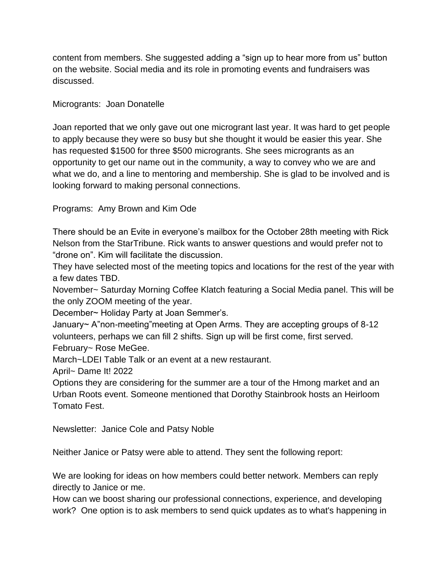content from members. She suggested adding a "sign up to hear more from us" button on the website. Social media and its role in promoting events and fundraisers was discussed.

#### Microgrants: Joan Donatelle

Joan reported that we only gave out one microgrant last year. It was hard to get people to apply because they were so busy but she thought it would be easier this year. She has requested \$1500 for three \$500 microgrants. She sees microgrants as an opportunity to get our name out in the community, a way to convey who we are and what we do, and a line to mentoring and membership. She is glad to be involved and is looking forward to making personal connections.

# Programs: Amy Brown and Kim Ode

There should be an Evite in everyone's mailbox for the October 28th meeting with Rick Nelson from the StarTribune. Rick wants to answer questions and would prefer not to "drone on". Kim will facilitate the discussion.

They have selected most of the meeting topics and locations for the rest of the year with a few dates TBD.

November~ Saturday Morning Coffee Klatch featuring a Social Media panel. This will be the only ZOOM meeting of the year.

December~ Holiday Party at Joan Semmer's.

January~ A"non-meeting"meeting at Open Arms. They are accepting groups of 8-12 volunteers, perhaps we can fill 2 shifts. Sign up will be first come, first served. February~ Rose MeGee.

March~LDEI Table Talk or an event at a new restaurant.

April~ Dame It! 2022

Options they are considering for the summer are a tour of the Hmong market and an Urban Roots event. Someone mentioned that Dorothy Stainbrook hosts an Heirloom Tomato Fest.

Newsletter: Janice Cole and Patsy Noble

Neither Janice or Patsy were able to attend. They sent the following report:

We are looking for ideas on how members could better network. Members can reply directly to Janice or me.

How can we boost sharing our professional connections, experience, and developing work? One option is to ask members to send quick updates as to what's happening in